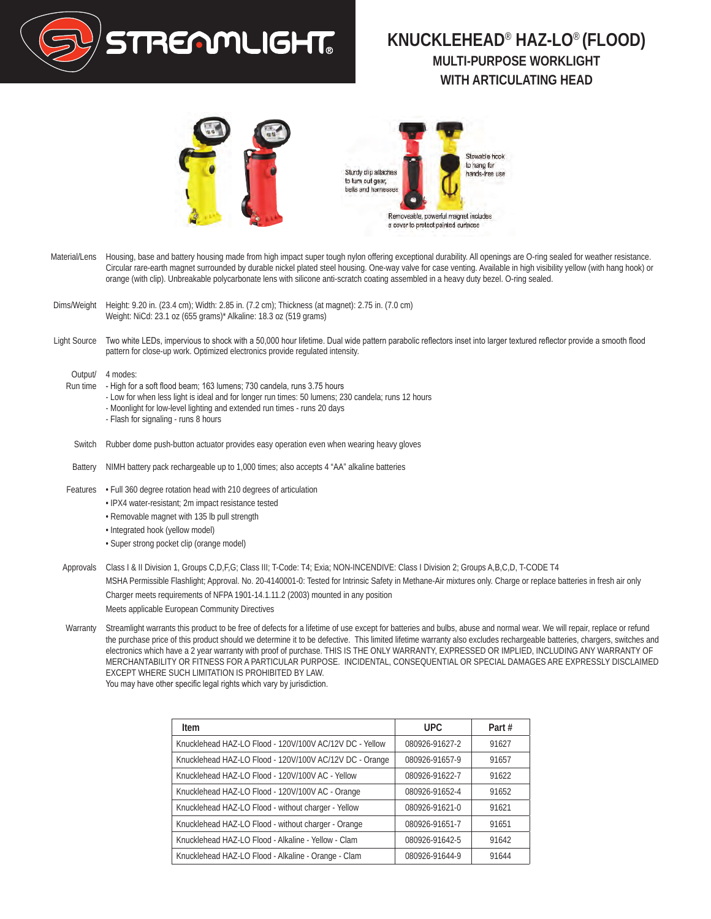

## **KNUCKLEHEAD**® **HAZ-LO**® **(FLOOD) MULTI-PURPOSE WORKLIGHT WITH ARTICULATING HEAD**





- Material/Lens Housing, base and battery housing made from high impact super tough nylon offering exceptional durability. All openings are O-ring sealed for weather resistance. Circular rare-earth magnet surrounded by durable nickel plated steel housing. One-way valve for case venting. Available in high visibility yellow (with hang hook) or orange (with clip). Unbreakable polycarbonate lens with silicone anti-scratch coating assembled in a heavy duty bezel. O-ring sealed.
- Dims/Weight Height: 9.20 in. (23.4 cm); Width: 2.85 in. (7.2 cm); Thickness (at magnet): 2.75 in. (7.0 cm) Weight: NiCd: 23.1 oz (655 grams)\* Alkaline: 18.3 oz (519 grams)
- Light Source Two white LEDs, impervious to shock with a 50,000 hour lifetime. Dual wide pattern parabolic reflectors inset into larger textured reflector provide a smooth flood pattern for close-up work. Optimized electronics provide regulated intensity.

Output/ 4 modes:

- Run time High for a soft flood beam; 163 lumens; 730 candela, runs 3.75 hours
	- Low for when less light is ideal and for longer run times: 50 lumens; 230 candela; runs 12 hours
	- Moonlight for low-level lighting and extended run times runs 20 days
	- Flash for signaling runs 8 hours
- Switch Rubber dome push-button actuator provides easy operation even when wearing heavy gloves
- Battery NIMH battery pack rechargeable up to 1,000 times; also accepts 4 "AA" alkaline batteries
- Features Full 360 degree rotation head with 210 degrees of articulation
	- IPX4 water-resistant; 2m impact resistance tested
	- Removable magnet with 135 lb pull strength
	- Integrated hook (yellow model)
	- Super strong pocket clip (orange model)
- Approvals Class I & II Division 1, Groups C,D,F,G; Class III; T-Code: T4; Exia; NON-INCENDIVE: Class I Division 2; Groups A,B,C,D, T-CODE T4 MSHA Permissible Flashlight; Approval. No. 20-4140001-0: Tested for Intrinsic Safety in Methane-Air mixtures only. Charge or replace batteries in fresh air only Charger meets requirements of NFPA 1901-14.1.11.2 (2003) mounted in any position Meets applicable European Community Directives
- Warranty Streamlight warrants this product to be free of defects for a lifetime of use except for batteries and bulbs, abuse and normal wear. We will repair, replace or refund the purchase price of this product should we determine it to be defective. This limited lifetime warranty also excludes rechargeable batteries, chargers, switches and electronics which have a 2 year warranty with proof of purchase. THIS IS THE ONLY WARRANTY, EXPRESSED OR IMPLIED, INCLUDING ANY WARRANTY OF MERCHANTABILITY OR FITNESS FOR A PARTICULAR PURPOSE. INCIDENTAL, CONSEQUENTIAL OR SPECIAL DAMAGES ARE EXPRESSLY DISCLAIMED EXCEPT WHERE SUCH LIMITATION IS PROHIBITED BY LAW. You may have other specific legal rights which vary by jurisdiction.

| Item                                                    | <b>UPC</b>     | Part# |
|---------------------------------------------------------|----------------|-------|
| Knucklehead HAZ-LO Flood - 120V/100V AC/12V DC - Yellow | 080926-91627-2 | 91627 |
| Knucklehead HAZ-LO Flood - 120V/100V AC/12V DC - Orange | 080926-91657-9 | 91657 |
| Knucklehead HAZ-LO Flood - 120V/100V AC - Yellow        | 080926-91622-7 | 91622 |
| Knucklehead HAZ-LO Flood - 120V/100V AC - Orange        | 080926-91652-4 | 91652 |
| Knucklehead HAZ-LO Flood - without charger - Yellow     | 080926-91621-0 | 91621 |
| Knucklehead HAZ-LO Flood - without charger - Orange     | 080926-91651-7 | 91651 |
| Knucklehead HAZ-LO Flood - Alkaline - Yellow - Clam     | 080926-91642-5 | 91642 |
| Knucklehead HAZ-LO Flood - Alkaline - Orange - Clam     | 080926-91644-9 | 91644 |